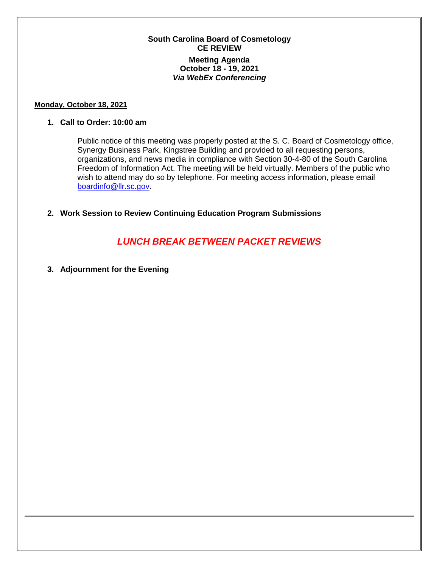## **South Carolina Board of Cosmetology CE REVIEW Meeting Agenda October 18 - 19, 2021** *Via WebEx Conferencing*

#### **Monday, October 18, 2021**

### **1. Call to Order: 10:00 am**

Public notice of this meeting was properly posted at the S. C. Board of Cosmetology office, Synergy Business Park, Kingstree Building and provided to all requesting persons, organizations, and news media in compliance with Section 30-4-80 of the South Carolina Freedom of Information Act. The meeting will be held virtually. Members of the public who wish to attend may do so by telephone. For meeting access information, please email [boardinfo@llr.sc.gov.](mailto:boardinfo@llr.sc.gov)

## **2. Work Session to Review Continuing Education Program Submissions**

# *LUNCH BREAK BETWEEN PACKET REVIEWS*

**3. Adjournment for the Evening**